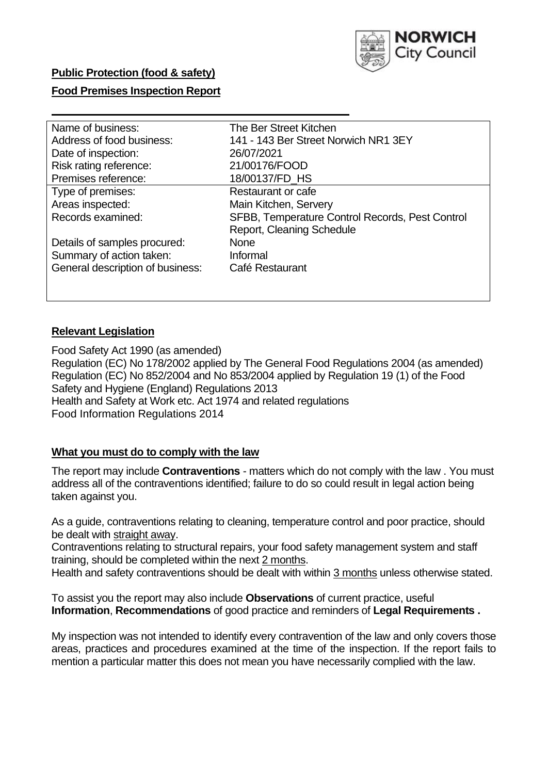

### **Public Protection (food & safety)**

### **Food Premises Inspection Report**

| Name of business:                | The Ber Street Kitchen                          |
|----------------------------------|-------------------------------------------------|
| Address of food business:        | 141 - 143 Ber Street Norwich NR1 3EY            |
| Date of inspection:              | 26/07/2021                                      |
| Risk rating reference:           | 21/00176/FOOD                                   |
| Premises reference:              | 18/00137/FD_HS                                  |
| Type of premises:                | Restaurant or cafe                              |
| Areas inspected:                 | Main Kitchen, Servery                           |
| Records examined:                | SFBB, Temperature Control Records, Pest Control |
|                                  | <b>Report, Cleaning Schedule</b>                |
| Details of samples procured:     | <b>None</b>                                     |
| Summary of action taken:         | Informal                                        |
| General description of business: | Café Restaurant                                 |
|                                  |                                                 |
|                                  |                                                 |

### **Relevant Legislation**

 Food Safety Act 1990 (as amended) Regulation (EC) No 178/2002 applied by The General Food Regulations 2004 (as amended) Regulation (EC) No 852/2004 and No 853/2004 applied by Regulation 19 (1) of the Food Safety and Hygiene (England) Regulations 2013 Health and Safety at Work etc. Act 1974 and related regulations Food Information Regulations 2014

### **What you must do to comply with the law**

 The report may include **Contraventions** - matters which do not comply with the law . You must address all of the contraventions identified; failure to do so could result in legal action being taken against you.

 As a guide, contraventions relating to cleaning, temperature control and poor practice, should be dealt with straight away.

 Contraventions relating to structural repairs, your food safety management system and staff training, should be completed within the next 2 months.

Health and safety contraventions should be dealt with within 3 months unless otherwise stated.

 To assist you the report may also include **Observations** of current practice, useful **Information**, **Recommendations** of good practice and reminders of **Legal Requirements .** 

 My inspection was not intended to identify every contravention of the law and only covers those areas, practices and procedures examined at the time of the inspection. If the report fails to mention a particular matter this does not mean you have necessarily complied with the law.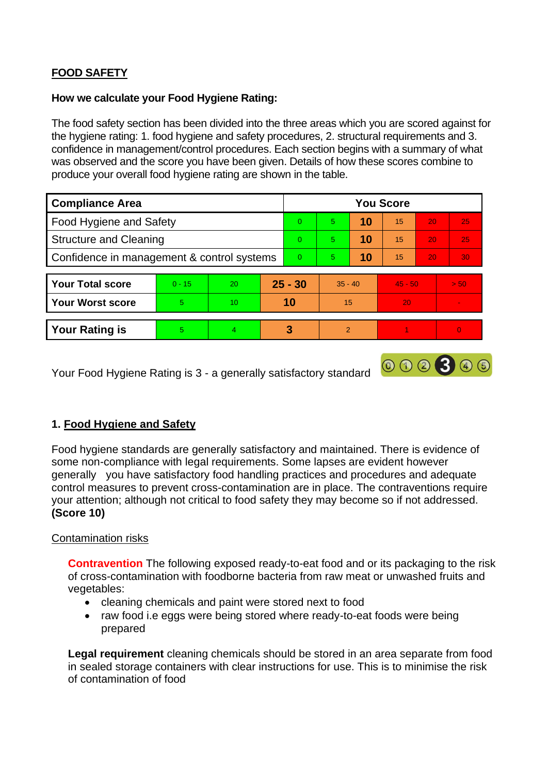# **FOOD SAFETY**

#### **How we calculate your Food Hygiene Rating:**

 The food safety section has been divided into the three areas which you are scored against for the hygiene rating: 1. food hygiene and safety procedures, 2. structural requirements and 3. confidence in management/control procedures. Each section begins with a summary of what was observed and the score you have been given. Details of how these scores combine to produce your overall food hygiene rating are shown in the table.

| <b>Compliance Area</b>                     |          |                |           | <b>You Score</b> |                |    |           |                 |          |  |  |
|--------------------------------------------|----------|----------------|-----------|------------------|----------------|----|-----------|-----------------|----------|--|--|
| Food Hygiene and Safety                    |          |                | $\Omega$  | 5                | 10             | 15 | 20        | 25              |          |  |  |
| <b>Structure and Cleaning</b>              |          |                | $\Omega$  | $5^{\circ}$      | 10             | 15 | 20        | 25              |          |  |  |
| Confidence in management & control systems |          |                | $\Omega$  | 5                | 10             | 15 | 20        | 30 <sup>°</sup> |          |  |  |
|                                            |          |                |           |                  |                |    |           |                 |          |  |  |
| <b>Your Total score</b>                    | $0 - 15$ | 20             | $25 - 30$ |                  | $35 - 40$      |    | $45 - 50$ |                 | > 50     |  |  |
| <b>Your Worst score</b>                    | 5.       | 10             | 10        |                  | 15             |    | 20        |                 | ۰        |  |  |
|                                            |          |                |           |                  |                |    |           |                 |          |  |  |
| <b>Your Rating is</b>                      | 5        | $\overline{4}$ |           | 3                | $\overline{2}$ |    |           |                 | $\Omega$ |  |  |

Your Food Hygiene Rating is 3 - a generally satisfactory standard

## **1. Food Hygiene and Safety**

 generally you have satisfactory food handling practices and procedures and adequate Food hygiene standards are generally satisfactory and maintained. There is evidence of some non-compliance with legal requirements. Some lapses are evident however control measures to prevent cross-contamination are in place. The contraventions require your attention; although not critical to food safety they may become so if not addressed. **(Score 10)** 

000300

### Contamination risks

**Contravention** The following exposed ready-to-eat food and or its packaging to the risk of cross-contamination with foodborne bacteria from raw meat or unwashed fruits and vegetables:

- cleaning chemicals and paint were stored next to food
- raw food i.e eggs were being stored where ready-to-eat foods were being prepared

 **Legal requirement** cleaning chemicals should be stored in an area separate from food in sealed storage containers with clear instructions for use. This is to minimise the risk of contamination of food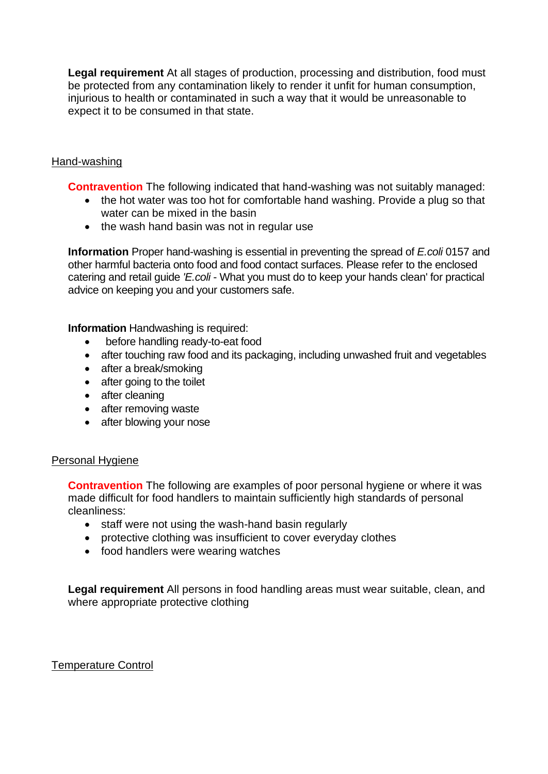injurious to health or contaminated in such a way that it would be unreasonable to **Legal requirement** At all stages of production, processing and distribution, food must be protected from any contamination likely to render it unfit for human consumption, expect it to be consumed in that state.

### Hand-washing

**Contravention** The following indicated that hand-washing was not suitably managed:

- water can be mixed in the basin • the hot water was too hot for comfortable hand washing. Provide a plug so that
- the wash hand basin was not in regular use

 **Information** Proper hand-washing is essential in preventing the spread of *E.coli* 0157 and other harmful bacteria onto food and food contact surfaces. Please refer to the enclosed catering and retail guide *'E.coli* - What you must do to keep your hands clean' for practical advice on keeping you and your customers safe.

**Information** Handwashing is required:

- before handling ready-to-eat food
- after touching raw food and its packaging, including unwashed fruit and vegetables
- after a break/smoking
- after going to the toilet
- after cleaning
- after removing waste
- after blowing your nose

#### Personal Hygiene

 made difficult for food handlers to maintain sufficiently high standards of personal **Contravention** The following are examples of poor personal hygiene or where it was cleanliness:

- staff were not using the wash-hand basin regularly
- protective clothing was insufficient to cover everyday clothes
- food handlers were wearing watches

**Legal requirement** All persons in food handling areas must wear suitable, clean, and where appropriate protective clothing

#### Temperature Control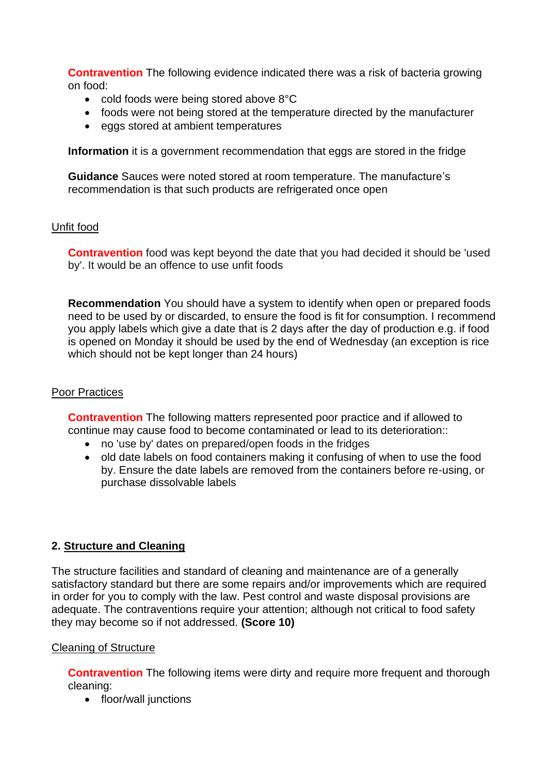**Contravention** The following evidence indicated there was a risk of bacteria growing on food:

- cold foods were being stored above 8°C
- foods were not being stored at the temperature directed by the manufacturer
- eggs stored at ambient temperatures

**Information** it is a government recommendation that eggs are stored in the fridge

**Guidance** Sauces were noted stored at room temperature. The manufacture's recommendation is that such products are refrigerated once open

### Unfit food

 by'. It would be an offence to use unfit foods **Contravention** food was kept beyond the date that you had decided it should be 'used

**Recommendation** You should have a system to identify when open or prepared foods need to be used by or discarded, to ensure the food is fit for consumption. I recommend you apply labels which give a date that is 2 days after the day of production e.g. if food is opened on Monday it should be used by the end of Wednesday (an exception is rice which should not be kept longer than 24 hours)

### Poor Practices

 **Contravention** The following matters represented poor practice and if allowed to continue may cause food to become contaminated or lead to its deterioration::

- no 'use by' dates on prepared/open foods in the fridges
- old date labels on food containers making it confusing of when to use the food by. Ensure the date labels are removed from the containers before re-using, or purchase dissolvable labels

## **2. Structure and Cleaning**

The structure facilities and standard of cleaning and maintenance are of a generally satisfactory standard but there are some repairs and/or improvements which are required in order for you to comply with the law. Pest control and waste disposal provisions are adequate. The contraventions require your attention; although not critical to food safety they may become so if not addressed. **(Score 10)** 

### Cleaning of Structure

**Contravention** The following items were dirty and require more frequent and thorough cleaning:

• floor/wall junctions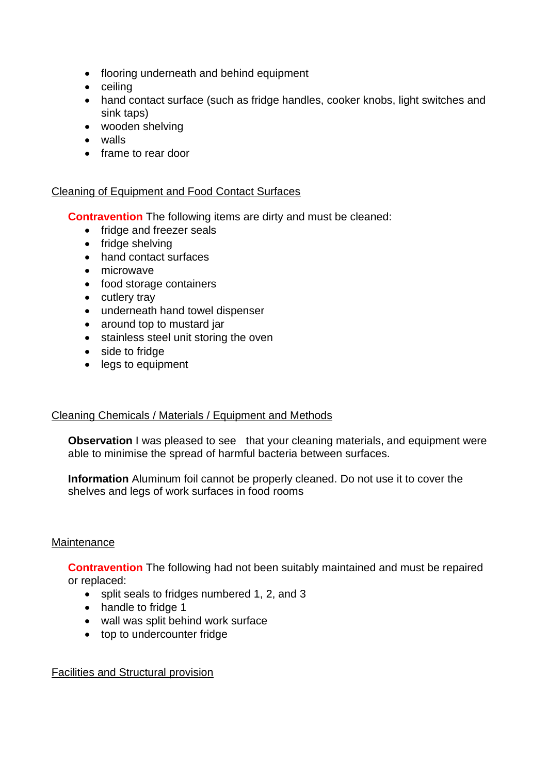- flooring underneath and behind equipment
- ceiling
- hand contact surface (such as fridge handles, cooker knobs, light switches and sink taps)
- wooden shelving
- walls
- frame to rear door

### Cleaning of Equipment and Food Contact Surfaces

**Contravention** The following items are dirty and must be cleaned:

- fridge and freezer seals
- fridge shelving
- hand contact surfaces
- microwave
- food storage containers
- cutlery tray
- underneath hand towel dispenser
- around top to mustard jar
- stainless steel unit storing the oven
- side to fridge
- legs to equipment

### Cleaning Chemicals / Materials / Equipment and Methods

**Observation** I was pleased to see that your cleaning materials, and equipment were able to minimise the spread of harmful bacteria between surfaces.

**Information** Aluminum foil cannot be properly cleaned. Do not use it to cover the shelves and legs of work surfaces in food rooms

### **Maintenance**

**Contravention** The following had not been suitably maintained and must be repaired or replaced:

- split seals to fridges numbered 1, 2, and 3
- handle to fridge 1
- wall was split behind work surface
- top to undercounter fridge

### Facilities and Structural provision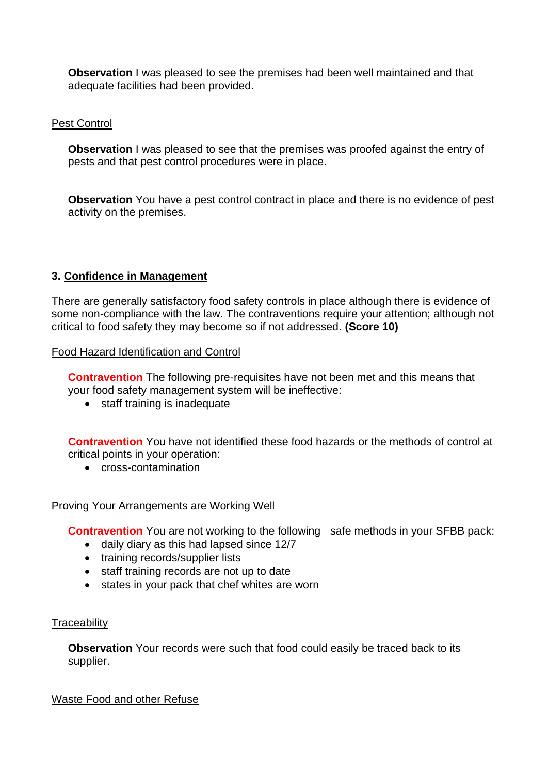**Observation** I was pleased to see the premises had been well maintained and that adequate facilities had been provided.

### Pest Control

**Observation** I was pleased to see that the premises was proofed against the entry of pests and that pest control procedures were in place.

 **Observation** You have a pest control contract in place and there is no evidence of pest activity on the premises.

### **3. Confidence in Management**

 There are generally satisfactory food safety controls in place although there is evidence of some non-compliance with the law. The contraventions require your attention; although not critical to food safety they may become so if not addressed. **(Score 10)** 

Food Hazard Identification and Control

**Contravention** The following pre-requisites have not been met and this means that your food safety management system will be ineffective:

• staff training is inadequate

**Contravention** You have not identified these food hazards or the methods of control at critical points in your operation:

• cross-contamination

#### Proving Your Arrangements are Working Well

**Contravention** You are not working to the following safe methods in your SFBB pack:

- daily diary as this had lapsed since 12/7
- training records/supplier lists
- staff training records are not up to date
- states in your pack that chef whites are worn

#### **Traceability**

**Observation** Your records were such that food could easily be traced back to its supplier.

Waste Food and other Refuse